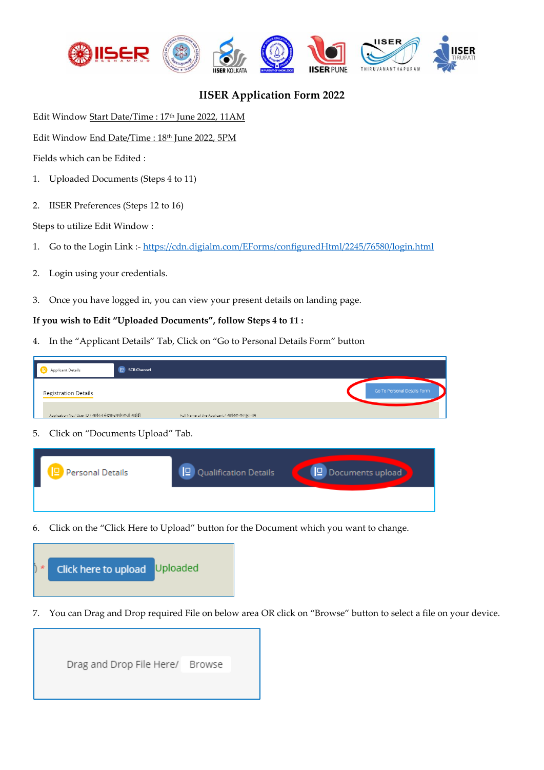

## **IISER Application Form 2022**

Edit Window Start Date/Time : 17<sup>th</sup> June 2022, 11AM

Edit Window End Date/Time : 18th June 2022, 5PM

Fields which can be Edited :

- 1. Uploaded Documents (Steps 4 to 11)
- 2. IISER Preferences (Steps 12 to 16)

Steps to utilize Edit Window :

- 1. Go to the Login Link :- <https://cdn.digialm.com/EForms/configuredHtml/2245/76580/login.html>
- 2. Login using your credentials.

Personal Details

3. Once you have logged in, you can view your present details on landing page.

## **If you wish to Edit "Uploaded Documents", follow Steps 4 to 11 :**

4. In the "Applicant Details" Tab, Click on "Go to Personal Details Form" button

|                                     | $\mathbb{P}$<br><b>SCB Channel</b><br><b>Applicant Details</b>                                            |  |  |  |
|-------------------------------------|-----------------------------------------------------------------------------------------------------------|--|--|--|
|                                     | Go To Personal Details Form<br><b>Registration Details</b>                                                |  |  |  |
|                                     | Application No./ User ID / आवेदन संख्या/उपयोगकर्ता आईडी<br>Full Name of the Applicant / आवेदक का पूरा नाम |  |  |  |
| 5. Click on "Documents Upload" Tab. |                                                                                                           |  |  |  |
|                                     |                                                                                                           |  |  |  |

6. Click on the "Click Here to Upload" button for the Document which you want to change.

**P** Qualification Details



7. You can Drag and Drop required File on below area OR click on "Browse" button to select a file on your device.

Documents upload